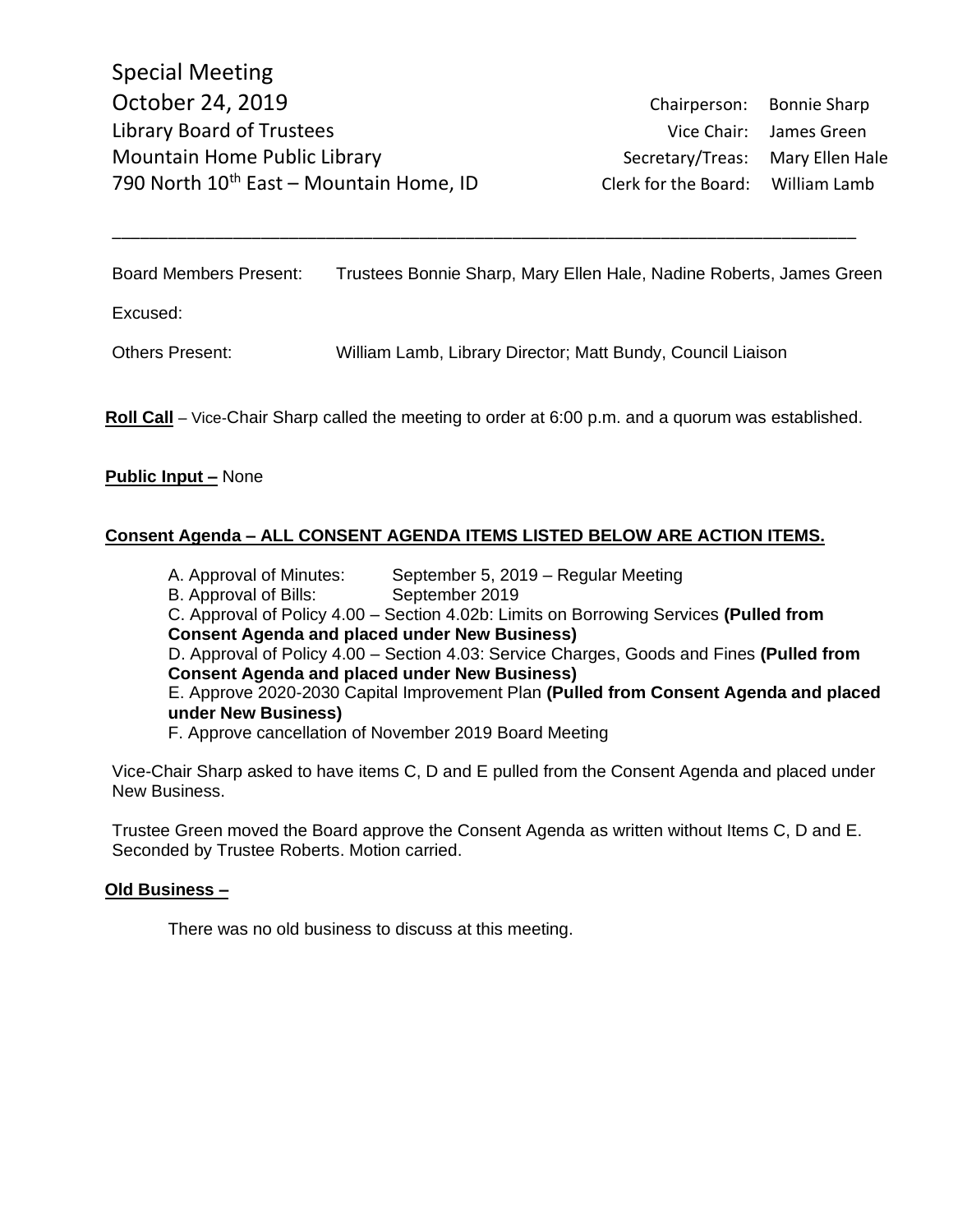Board Members Present: Trustees Bonnie Sharp, Mary Ellen Hale, Nadine Roberts, James Green

\_\_\_\_\_\_\_\_\_\_\_\_\_\_\_\_\_\_\_\_\_\_\_\_\_\_\_\_\_\_\_\_\_\_\_\_\_\_\_\_\_\_\_\_\_\_\_\_\_\_\_\_\_\_\_\_\_\_\_\_\_\_\_\_\_\_\_\_\_\_\_\_\_\_\_\_\_\_\_\_

Excused:

Others Present: William Lamb, Library Director; Matt Bundy, Council Liaison

**Roll Call** – Vice-Chair Sharp called the meeting to order at 6:00 p.m. and a quorum was established.

### **Public Input –** None

# **Consent Agenda – ALL CONSENT AGENDA ITEMS LISTED BELOW ARE ACTION ITEMS.**

A. Approval of Minutes: September 5, 2019 – Regular Meeting B. Approval of Bills: September 2019 C. Approval of Policy 4.00 – Section 4.02b: Limits on Borrowing Services **(Pulled from Consent Agenda and placed under New Business)** D. Approval of Policy 4.00 – Section 4.03: Service Charges, Goods and Fines **(Pulled from Consent Agenda and placed under New Business)** E. Approve 2020-2030 Capital Improvement Plan **(Pulled from Consent Agenda and placed under New Business)** F. Approve cancellation of November 2019 Board Meeting

Vice-Chair Sharp asked to have items C, D and E pulled from the Consent Agenda and placed under New Business.

Trustee Green moved the Board approve the Consent Agenda as written without Items C, D and E. Seconded by Trustee Roberts. Motion carried.

### **Old Business –**

There was no old business to discuss at this meeting.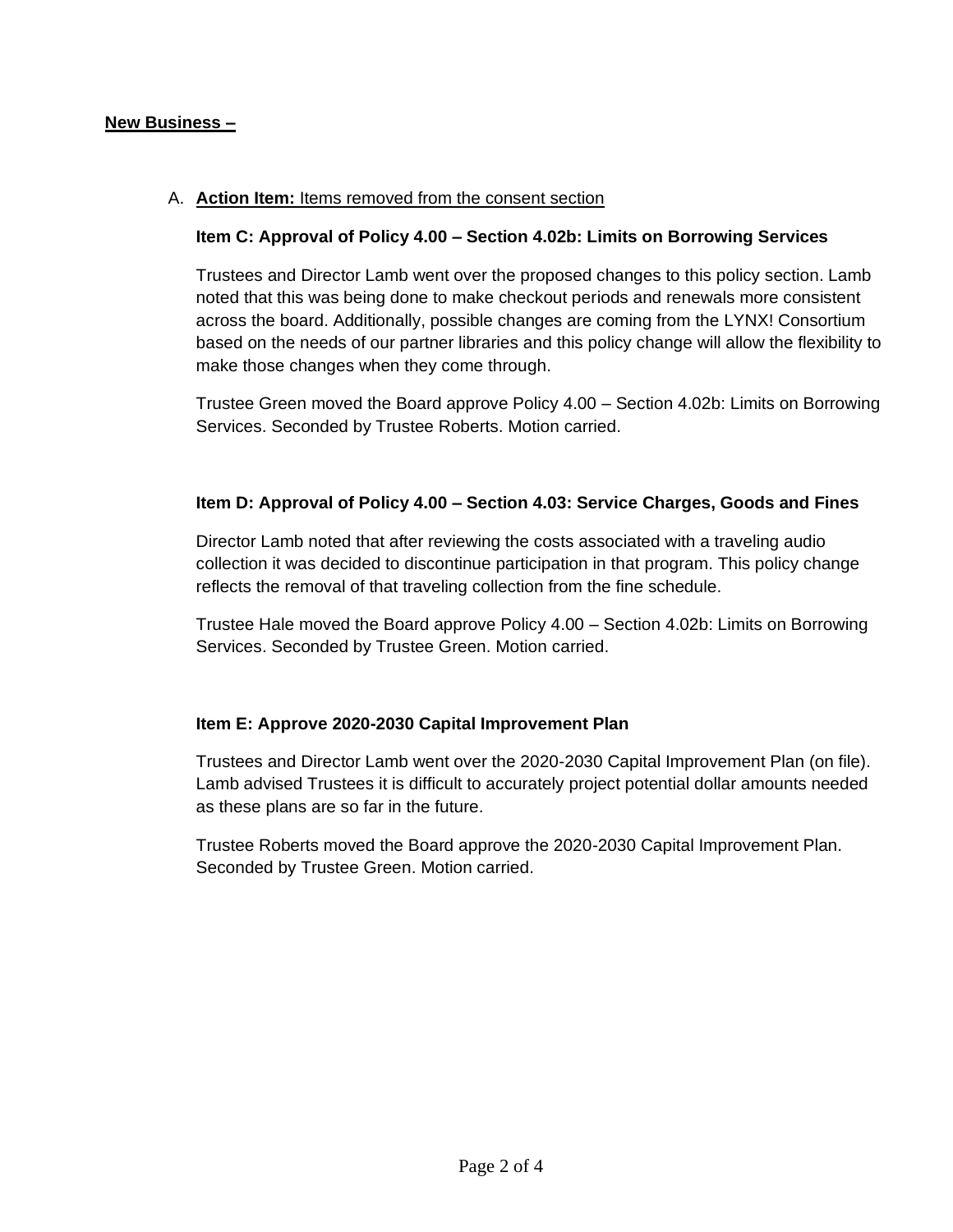## **New Business –**

## A. **Action Item:** Items removed from the consent section

## **Item C: Approval of Policy 4.00 – Section 4.02b: Limits on Borrowing Services**

Trustees and Director Lamb went over the proposed changes to this policy section. Lamb noted that this was being done to make checkout periods and renewals more consistent across the board. Additionally, possible changes are coming from the LYNX! Consortium based on the needs of our partner libraries and this policy change will allow the flexibility to make those changes when they come through.

Trustee Green moved the Board approve Policy 4.00 – Section 4.02b: Limits on Borrowing Services. Seconded by Trustee Roberts. Motion carried.

### **Item D: Approval of Policy 4.00 – Section 4.03: Service Charges, Goods and Fines**

Director Lamb noted that after reviewing the costs associated with a traveling audio collection it was decided to discontinue participation in that program. This policy change reflects the removal of that traveling collection from the fine schedule.

Trustee Hale moved the Board approve Policy 4.00 – Section 4.02b: Limits on Borrowing Services. Seconded by Trustee Green. Motion carried.

### **Item E: Approve 2020-2030 Capital Improvement Plan**

Trustees and Director Lamb went over the 2020-2030 Capital Improvement Plan (on file). Lamb advised Trustees it is difficult to accurately project potential dollar amounts needed as these plans are so far in the future.

Trustee Roberts moved the Board approve the 2020-2030 Capital Improvement Plan. Seconded by Trustee Green. Motion carried.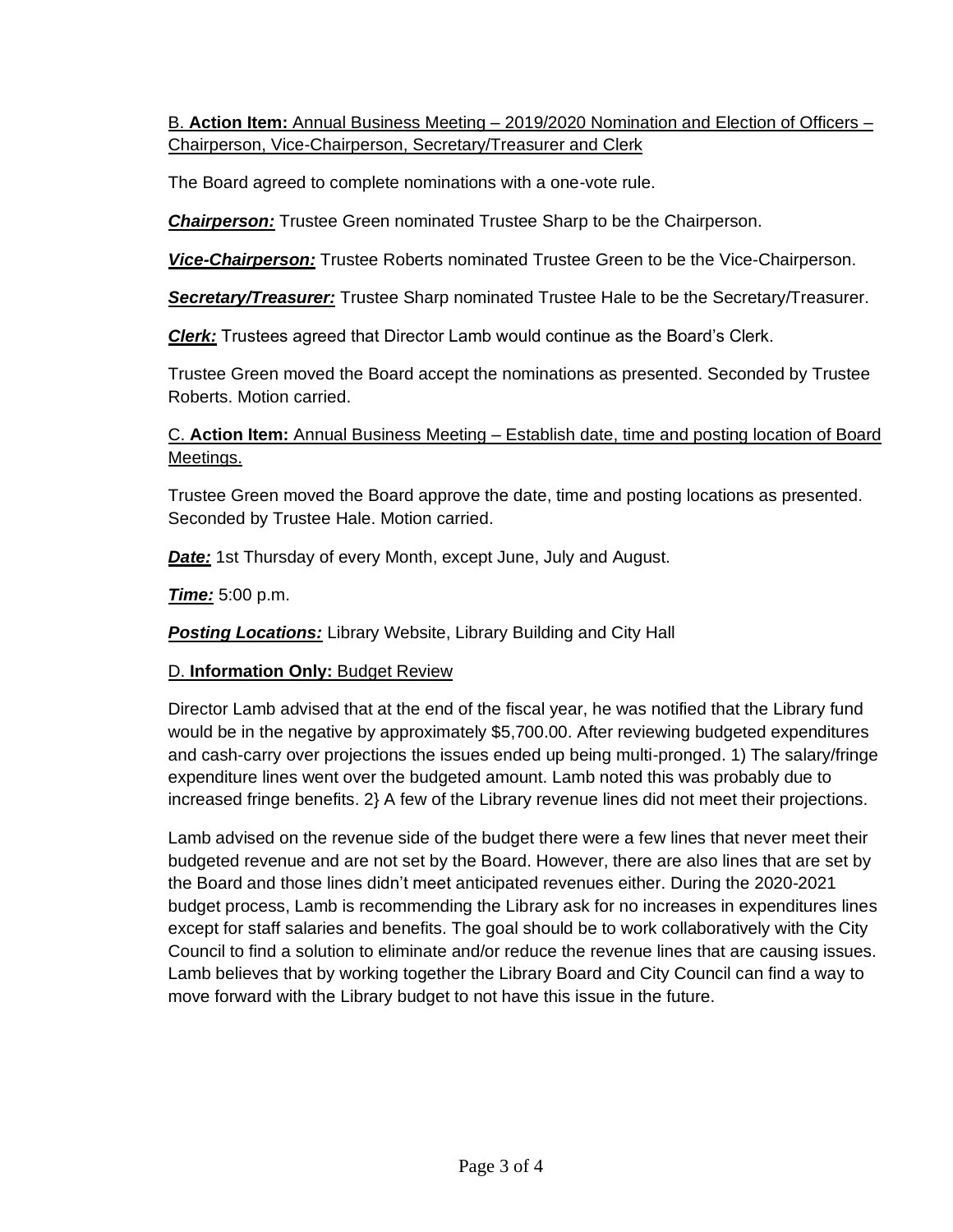B. **Action Item:** Annual Business Meeting – 2019/2020 Nomination and Election of Officers – Chairperson, Vice-Chairperson, Secretary/Treasurer and Clerk

The Board agreed to complete nominations with a one-vote rule.

*Chairperson:* Trustee Green nominated Trustee Sharp to be the Chairperson.

*Vice-Chairperson:* Trustee Roberts nominated Trustee Green to be the Vice-Chairperson.

*Secretary/Treasurer:* Trustee Sharp nominated Trustee Hale to be the Secretary/Treasurer.

*Clerk:* Trustees agreed that Director Lamb would continue as the Board's Clerk.

Trustee Green moved the Board accept the nominations as presented. Seconded by Trustee Roberts. Motion carried.

C. **Action Item:** Annual Business Meeting – Establish date, time and posting location of Board Meetings.

Trustee Green moved the Board approve the date, time and posting locations as presented. Seconded by Trustee Hale. Motion carried.

**Date:** 1st Thursday of every Month, except June, July and August.

*Time:* 5:00 p.m.

**Posting Locations:** Library Website, Library Building and City Hall

# D. **Information Only:** Budget Review

Director Lamb advised that at the end of the fiscal year, he was notified that the Library fund would be in the negative by approximately \$5,700.00. After reviewing budgeted expenditures and cash-carry over projections the issues ended up being multi-pronged. 1) The salary/fringe expenditure lines went over the budgeted amount. Lamb noted this was probably due to increased fringe benefits. 2} A few of the Library revenue lines did not meet their projections.

Lamb advised on the revenue side of the budget there were a few lines that never meet their budgeted revenue and are not set by the Board. However, there are also lines that are set by the Board and those lines didn't meet anticipated revenues either. During the 2020-2021 budget process, Lamb is recommending the Library ask for no increases in expenditures lines except for staff salaries and benefits. The goal should be to work collaboratively with the City Council to find a solution to eliminate and/or reduce the revenue lines that are causing issues. Lamb believes that by working together the Library Board and City Council can find a way to move forward with the Library budget to not have this issue in the future.